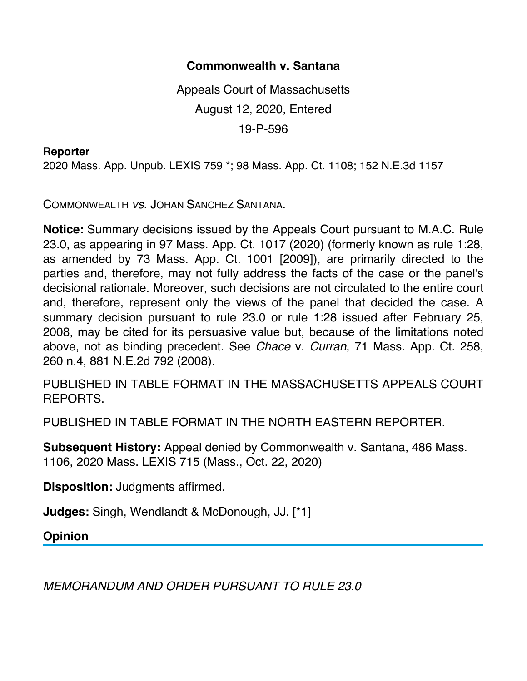## **Commonwealth v. Santana**

Appeals Court of Massachusetts August 12, 2020, Entered 19-P-596

## **Reporter**

2020 Mass. App. Unpub. LEXIS 759 \*; 98 Mass. App. Ct. 1108; 152 N.E.3d 1157

COMMONWEALTH *vs*. JOHAN SANCHEZ SANTANA.

**Notice:** Summary decisions issued by the Appeals Court pursuant to M.A.C. Rule 23.0, as appearing in 97 Mass. App. Ct. 1017 (2020) (formerly known as rule 1:28, as amended by 73 Mass. App. Ct. 1001 [2009]), are primarily directed to the parties and, therefore, may not fully address the facts of the case or the panel's decisional rationale. Moreover, such decisions are not circulated to the entire court and, therefore, represent only the views of the panel that decided the case. A summary decision pursuant to rule 23.0 or rule 1:28 issued after February 25, 2008, may be cited for its persuasive value but, because of the limitations noted above, not as binding precedent. See *Chace* v. *Curran*, 71 Mass. App. Ct. 258, 260 n.4, 881 N.E.2d 792 (2008).

PUBLISHED IN TABLE FORMAT IN THE MASSACHUSETTS APPEALS COURT REPORTS.

PUBLISHED IN TABLE FORMAT IN THE NORTH EASTERN REPORTER.

**Subsequent History:** Appeal denied by Commonwealth v. Santana, 486 Mass. 1106, 2020 Mass. LEXIS 715 (Mass., Oct. 22, 2020)

**Disposition:** Judgments affirmed.

**Judges:** Singh, Wendlandt & McDonough, JJ. [\*1]

**Opinion**

*MEMORANDUM AND ORDER PURSUANT TO RULE 23.0*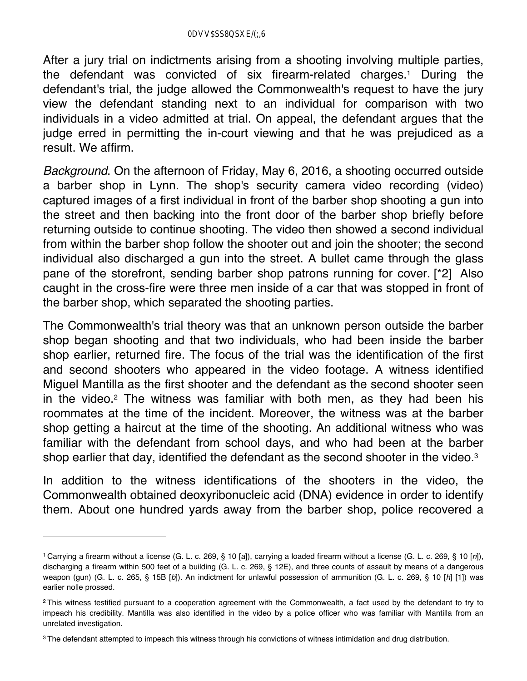After a jury trial on indictments arising from a shooting involving multiple parties, the defendant was convicted of six firearm-related charges.1 During the defendant's trial, the judge allowed the Commonwealth's request to have the jury view the defendant standing next to an individual for comparison with two individuals in a video admitted at trial. On appeal, the defendant argues that the judge erred in permitting the in-court viewing and that he was prejudiced as a result. We affirm.

*Background*. On the afternoon of Friday, May 6, 2016, a shooting occurred outside a barber shop in Lynn. The shop's security camera video recording (video) captured images of a first individual in front of the barber shop shooting a gun into the street and then backing into the front door of the barber shop briefly before returning outside to continue shooting. The video then showed a second individual from within the barber shop follow the shooter out and join the shooter; the second individual also discharged a gun into the street. A bullet came through the glass pane of the storefront, sending barber shop patrons running for cover. [\*2] Also caught in the cross-fire were three men inside of a car that was stopped in front of the barber shop, which separated the shooting parties.

The Commonwealth's trial theory was that an unknown person outside the barber shop began shooting and that two individuals, who had been inside the barber shop earlier, returned fire. The focus of the trial was the identification of the first and second shooters who appeared in the video footage. A witness identified Miguel Mantilla as the first shooter and the defendant as the second shooter seen in the video.2 The witness was familiar with both men, as they had been his roommates at the time of the incident. Moreover, the witness was at the barber shop getting a haircut at the time of the shooting. An additional witness who was familiar with the defendant from school days, and who had been at the barber shop earlier that day, identified the defendant as the second shooter in the video.<sup>3</sup>

In addition to the witness identifications of the shooters in the video, the Commonwealth obtained deoxyribonucleic acid (DNA) evidence in order to identify them. About one hundred yards away from the barber shop, police recovered a

<sup>1</sup> Carrying a firearm without a license (G. L. c. 269, § 10 [*a*]), carrying a loaded firearm without a license (G. L. c. 269, § 10 [*n*]), discharging a firearm within 500 feet of a building (G. L. c. 269, § 12E), and three counts of assault by means of a dangerous weapon (gun) (G. L. c. 265, § 15B [*b*]). An indictment for unlawful possession of ammunition (G. L. c. 269, § 10 [*h*] [1]) was earlier nolle prossed.

<sup>&</sup>lt;sup>2</sup>This witness testified pursuant to a cooperation agreement with the Commonwealth, a fact used by the defendant to try to impeach his credibility. Mantilla was also identified in the video by a police officer who was familiar with Mantilla from an unrelated investigation.

<sup>&</sup>lt;sup>3</sup> The defendant attempted to impeach this witness through his convictions of witness intimidation and drug distribution.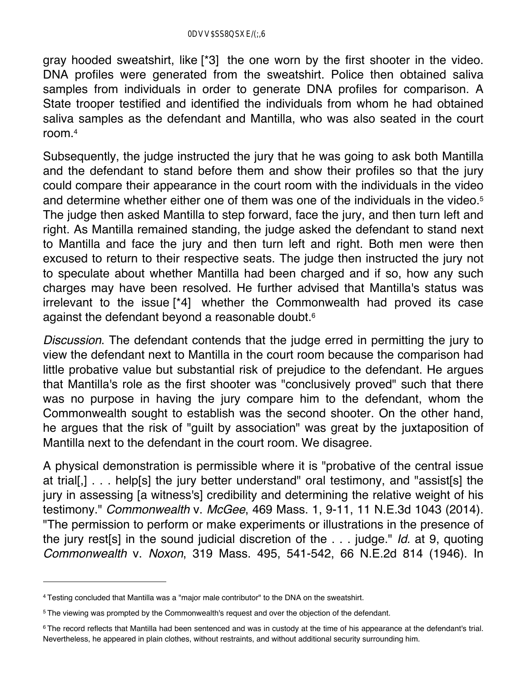gray hooded sweatshirt, like [\*3] the one worn by the first shooter in the video. DNA profiles were generated from the sweatshirt. Police then obtained saliva samples from individuals in order to generate DNA profiles for comparison. A State trooper testified and identified the individuals from whom he had obtained saliva samples as the defendant and Mantilla, who was also seated in the court room.4

Subsequently, the judge instructed the jury that he was going to ask both Mantilla and the defendant to stand before them and show their profiles so that the jury could compare their appearance in the court room with the individuals in the video and determine whether either one of them was one of the individuals in the video.<sup>5</sup> The judge then asked Mantilla to step forward, face the jury, and then turn left and right. As Mantilla remained standing, the judge asked the defendant to stand next to Mantilla and face the jury and then turn left and right. Both men were then excused to return to their respective seats. The judge then instructed the jury not to speculate about whether Mantilla had been charged and if so, how any such charges may have been resolved. He further advised that Mantilla's status was irrelevant to the issue [\*4] whether the Commonwealth had proved its case against the defendant beyond a reasonable doubt.6

*Discussion*. The defendant contends that the judge erred in permitting the jury to view the defendant next to Mantilla in the court room because the comparison had little probative value but substantial risk of prejudice to the defendant. He argues that Mantilla's role as the first shooter was "conclusively proved" such that there was no purpose in having the jury compare him to the defendant, whom the Commonwealth sought to establish was the second shooter. On the other hand, he argues that the risk of "guilt by association" was great by the juxtaposition of Mantilla next to the defendant in the court room. We disagree.

A physical demonstration is permissible where it is "probative of the central issue at trial[,] . . . help[s] the jury better understand" oral testimony, and "assist[s] the jury in assessing [a witness's] credibility and determining the relative weight of his testimony." *Commonwealth* v. *McGee*, 469 Mass. 1, 9-11, 11 N.E.3d 1043 (2014). "The permission to perform or make experiments or illustrations in the presence of the jury rest[s] in the sound judicial discretion of the . . . judge." *Id.* at 9, quoting *Commonwealth* v. *Noxon*, 319 Mass. 495, 541-542, 66 N.E.2d 814 (1946). In

<sup>4</sup> Testing concluded that Mantilla was a "major male contributor" to the DNA on the sweatshirt.

<sup>5</sup> The viewing was prompted by the Commonwealth's request and over the objection of the defendant.

<sup>&</sup>lt;sup>6</sup> The record reflects that Mantilla had been sentenced and was in custody at the time of his appearance at the defendant's trial. Nevertheless, he appeared in plain clothes, without restraints, and without additional security surrounding him.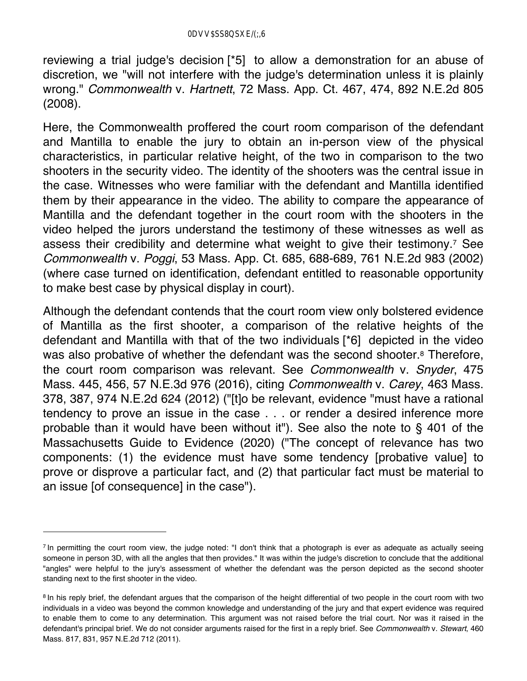reviewing a trial judge's decision [\*5] to allow a demonstration for an abuse of discretion, we "will not interfere with the judge's determination unless it is plainly wrong." *Commonwealth* v. *Hartnett*, 72 Mass. App. Ct. 467, 474, 892 N.E.2d 805 (2008).

Here, the Commonwealth proffered the court room comparison of the defendant and Mantilla to enable the jury to obtain an in-person view of the physical characteristics, in particular relative height, of the two in comparison to the two shooters in the security video. The identity of the shooters was the central issue in the case. Witnesses who were familiar with the defendant and Mantilla identified them by their appearance in the video. The ability to compare the appearance of Mantilla and the defendant together in the court room with the shooters in the video helped the jurors understand the testimony of these witnesses as well as assess their credibility and determine what weight to give their testimony.7 See *Commonwealth* v. *Poggi*, 53 Mass. App. Ct. 685, 688-689, 761 N.E.2d 983 (2002) (where case turned on identification, defendant entitled to reasonable opportunity to make best case by physical display in court).

Although the defendant contends that the court room view only bolstered evidence of Mantilla as the first shooter, a comparison of the relative heights of the defendant and Mantilla with that of the two individuals [\*6] depicted in the video was also probative of whether the defendant was the second shooter.<sup>8</sup> Therefore, the court room comparison was relevant. See *Commonwealth* v. *Snyder*, 475 Mass. 445, 456, 57 N.E.3d 976 (2016), citing *Commonwealth* v. *Carey*, 463 Mass. 378, 387, 974 N.E.2d 624 (2012) ("[t]o be relevant, evidence "must have a rational tendency to prove an issue in the case . . . or render a desired inference more probable than it would have been without it"). See also the note to § 401 of the Massachusetts Guide to Evidence (2020) ("The concept of relevance has two components: (1) the evidence must have some tendency [probative value] to prove or disprove a particular fact, and (2) that particular fact must be material to an issue [of consequence] in the case").

<sup>&</sup>lt;sup>7</sup> In permitting the court room view, the judge noted: "I don't think that a photograph is ever as adequate as actually seeing someone in person 3D, with all the angles that then provides." It was within the judge's discretion to conclude that the additional "angles" were helpful to the jury's assessment of whether the defendant was the person depicted as the second shooter standing next to the first shooter in the video.

<sup>&</sup>lt;sup>8</sup> In his reply brief, the defendant argues that the comparison of the height differential of two people in the court room with two individuals in a video was beyond the common knowledge and understanding of the jury and that expert evidence was required to enable them to come to any determination. This argument was not raised before the trial court. Nor was it raised in the defendant's principal brief. We do not consider arguments raised for the first in a reply brief. See *Commonwealth* v. *Stewart*, 460 Mass. 817, 831, 957 N.E.2d 712 (2011).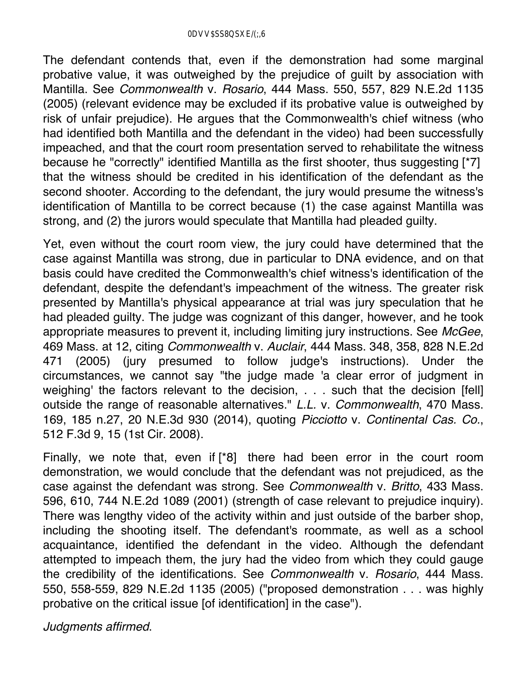The defendant contends that, even if the demonstration had some marginal probative value, it was outweighed by the prejudice of guilt by association with Mantilla. See *Commonwealth* v. *Rosario*, 444 Mass. 550, 557, 829 N.E.2d 1135 (2005) (relevant evidence may be excluded if its probative value is outweighed by risk of unfair prejudice). He argues that the Commonwealth's chief witness (who had identified both Mantilla and the defendant in the video) had been successfully impeached, and that the court room presentation served to rehabilitate the witness because he "correctly" identified Mantilla as the first shooter, thus suggesting [\*7] that the witness should be credited in his identification of the defendant as the second shooter. According to the defendant, the jury would presume the witness's identification of Mantilla to be correct because (1) the case against Mantilla was strong, and (2) the jurors would speculate that Mantilla had pleaded guilty.

Yet, even without the court room view, the jury could have determined that the case against Mantilla was strong, due in particular to DNA evidence, and on that basis could have credited the Commonwealth's chief witness's identification of the defendant, despite the defendant's impeachment of the witness. The greater risk presented by Mantilla's physical appearance at trial was jury speculation that he had pleaded guilty. The judge was cognizant of this danger, however, and he took appropriate measures to prevent it, including limiting jury instructions. See *McGee*, 469 Mass. at 12, citing *Commonwealth* v. *Auclair*, 444 Mass. 348, 358, 828 N.E.2d 471 (2005) (jury presumed to follow judge's instructions). Under the circumstances, we cannot say "the judge made 'a clear error of judgment in weighing' the factors relevant to the decision, . . . such that the decision [fell] outside the range of reasonable alternatives." *L.L.* v. *Commonwealth*, 470 Mass. 169, 185 n.27, 20 N.E.3d 930 (2014), quoting *Picciotto* v. *Continental Cas. Co.*, 512 F.3d 9, 15 (1st Cir. 2008).

Finally, we note that, even if [\*8] there had been error in the court room demonstration, we would conclude that the defendant was not prejudiced, as the case against the defendant was strong. See *Commonwealth* v. *Britto*, 433 Mass. 596, 610, 744 N.E.2d 1089 (2001) (strength of case relevant to prejudice inquiry). There was lengthy video of the activity within and just outside of the barber shop, including the shooting itself. The defendant's roommate, as well as a school acquaintance, identified the defendant in the video. Although the defendant attempted to impeach them, the jury had the video from which they could gauge the credibility of the identifications. See *Commonwealth* v. *Rosario*, 444 Mass. 550, 558-559, 829 N.E.2d 1135 (2005) ("proposed demonstration . . . was highly probative on the critical issue [of identification] in the case").

*Judgments affirmed*.